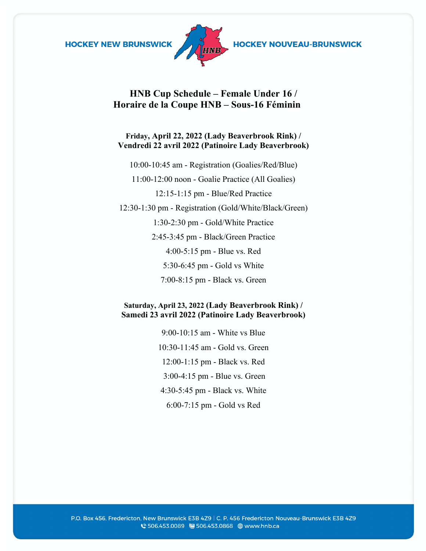



**HOCKEY NOUVEAU-BRUNSWICK** 

## **HNB Cup Schedule – Female Under 16 / Horaire de la Coupe HNB – Sous-16 Féminin**

### **Friday, April 22, 2022 (Lady Beaverbrook Rink) / Vendredi 22 avril 2022 (Patinoire Lady Beaverbrook)**

10:00-10:45 am - Registration (Goalies/Red/Blue)

11:00-12:00 noon - Goalie Practice (All Goalies)

12:15-1:15 pm - Blue/Red Practice

12:30-1:30 pm - Registration (Gold/White/Black/Green) 1:30-2:30 pm - Gold/White Practice 2:45-3:45 pm - Black/Green Practice 4:00-5:15 pm - Blue vs. Red

5:30-6:45 pm - Gold vs White

7:00-8:15 pm - Black vs. Green

### **Saturday, April 23, 2022 (Lady Beaverbrook Rink) / Samedi 23 avril 2022 (Patinoire Lady Beaverbrook)**

9:00-10:15 am - White vs Blue 10:30-11:45 am - Gold vs. Green 12:00-1:15 pm - Black vs. Red 3:00-4:15 pm - Blue vs. Green 4:30-5:45 pm - Black vs. White 6:00-7:15 pm - Gold vs Red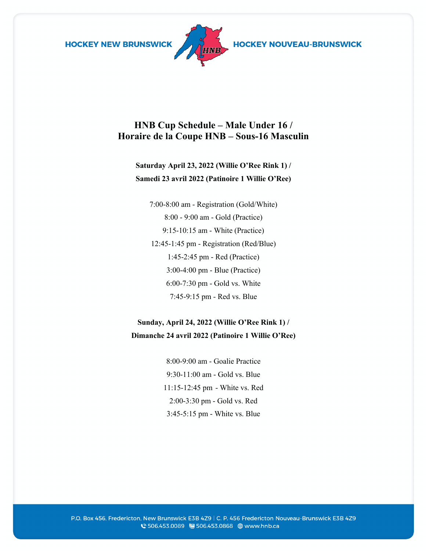**HOCKEY NEW BRUNSWICK** 



HOCKEY NOUVEAU-BRUNSWICK

# **HNB Cup Schedule – Male Under 16 / Horaire de la Coupe HNB – Sous-16 Masculin**

# **Saturday April 23, 2022 (Willie O'Ree Rink 1) / Samedi 23 avril 2022 (Patinoire 1 Willie O'Ree)**

7:00-8:00 am - Registration (Gold/White) 8:00 - 9:00 am - Gold (Practice) 9:15-10:15 am - White (Practice) 12:45-1:45 pm - Registration (Red/Blue) 1:45-2:45 pm - Red (Practice) 3:00-4:00 pm - Blue (Practice) 6:00-7:30 pm - Gold vs. White 7:45-9:15 pm - Red vs. Blue

## **Sunday, April 24, 2022 (Willie O'Ree Rink 1) / Dimanche 24 avril 2022 (Patinoire 1 Willie O'Ree)**

8:00-9:00 am - Goalie Practice 9:30-11:00 am - Gold vs. Blue 11:15-12:45 pm - White vs. Red 2:00-3:30 pm - Gold vs. Red 3:45-5:15 pm - White vs. Blue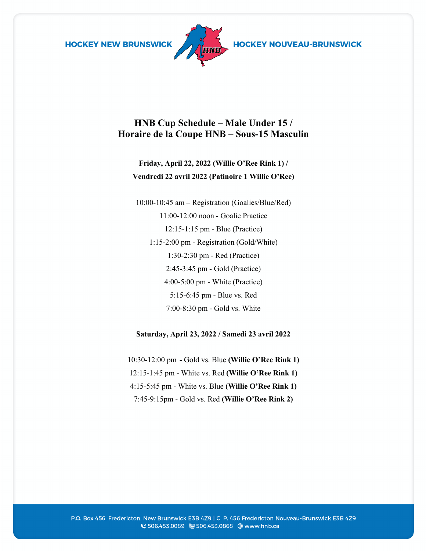**HOCKEY NEW BRUNSWICK** 



HOCKEY NOUVEAU-BRUNSWICK

# **HNB Cup Schedule – Male Under 15 / Horaire de la Coupe HNB – Sous-15 Masculin**

# **Friday, April 22, 2022 (Willie O'Ree Rink 1) / Vendredi 22 avril 2022 (Patinoire 1 Willie O'Ree)**

10:00-10:45 am – Registration (Goalies/Blue/Red) 11:00-12:00 noon - Goalie Practice 12:15-1:15 pm - Blue (Practice) 1:15-2:00 pm - Registration (Gold/White) 1:30-2:30 pm - Red (Practice) 2:45-3:45 pm - Gold (Practice) 4:00-5:00 pm - White (Practice) 5:15-6:45 pm - Blue vs. Red 7:00-8:30 pm - Gold vs. White

#### **Saturday, April 23, 2022 / Samedi 23 avril 2022**

10:30-12:00 pm - Gold vs. Blue **(Willie O'Ree Rink 1)** 12:15-1:45 pm - White vs. Red **(Willie O'Ree Rink 1)** 4:15-5:45 pm - White vs. Blue **(Willie O'Ree Rink 1)** 7:45-9:15pm - Gold vs. Red **(Willie O'Ree Rink 2)**